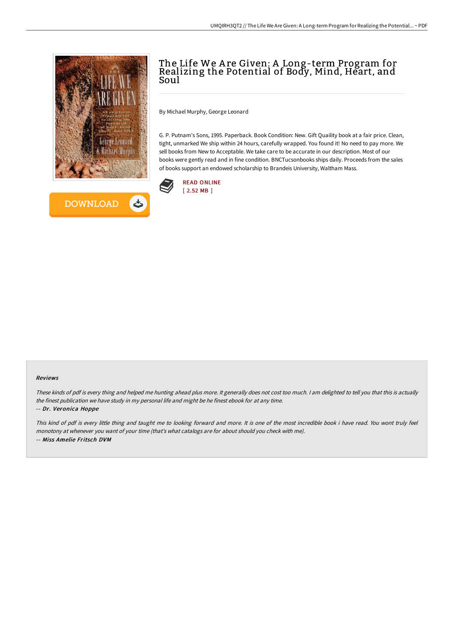



# The Life We A re Given: A Long-term Program for Realizing the Potential of Body, Mind, Heart, and Soul

By Michael Murphy, George Leonard

G. P. Putnam's Sons, 1995. Paperback. Book Condition: New. Gift Quaility book at a fair price. Clean, tight, unmarked We ship within 24 hours, carefully wrapped. You found it! No need to pay more. We sell books from New to Acceptable. We take care to be accurate in our description. Most of our books were gently read and in fine condition. BNCTucsonbooks ships daily. Proceeds from the sales of books support an endowed scholarship to Brandeis University, Waltham Mass.



#### Reviews

These kinds of pdf is every thing and helped me hunting ahead plus more. It generally does not cost too much. <sup>I</sup> am delighted to tell you that this is actually the finest publication we have study in my personal life and might be he finest ebook for at any time.

### -- Dr. Veronica Hoppe

This kind of pdf is every little thing and taught me to looking forward and more. It is one of the most incredible book i have read. You wont truly feel monotony at whenever you want of your time (that's what catalogs are for about should you check with me). -- Miss Amelie Fritsch DVM